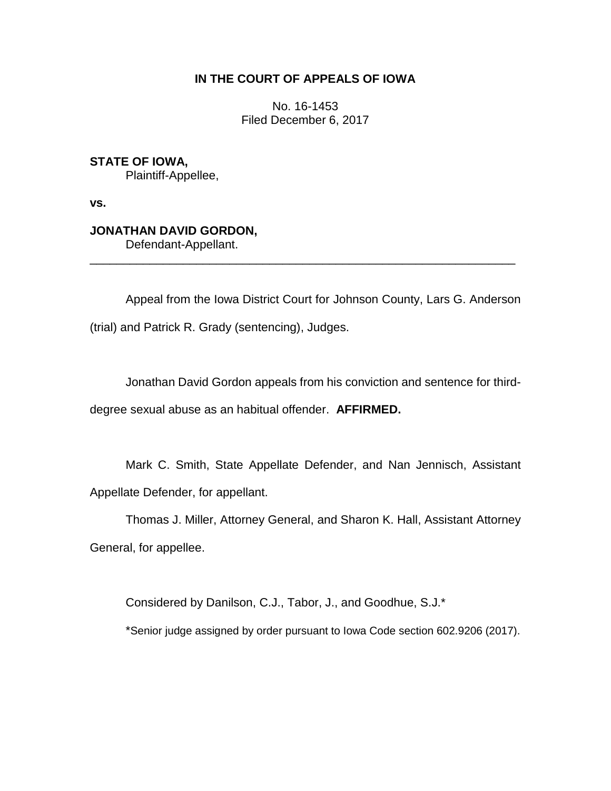# **IN THE COURT OF APPEALS OF IOWA**

No. 16-1453 Filed December 6, 2017

**STATE OF IOWA,** Plaintiff-Appellee,

**vs.**

# **JONATHAN DAVID GORDON,**

Defendant-Appellant.

Appeal from the Iowa District Court for Johnson County, Lars G. Anderson (trial) and Patrick R. Grady (sentencing), Judges.

\_\_\_\_\_\_\_\_\_\_\_\_\_\_\_\_\_\_\_\_\_\_\_\_\_\_\_\_\_\_\_\_\_\_\_\_\_\_\_\_\_\_\_\_\_\_\_\_\_\_\_\_\_\_\_\_\_\_\_\_\_\_\_\_

Jonathan David Gordon appeals from his conviction and sentence for third-

degree sexual abuse as an habitual offender. **AFFIRMED.**

Mark C. Smith, State Appellate Defender, and Nan Jennisch, Assistant Appellate Defender, for appellant.

Thomas J. Miller, Attorney General, and Sharon K. Hall, Assistant Attorney General, for appellee.

Considered by Danilson, C.J., Tabor, J., and Goodhue, S.J.\*

\*Senior judge assigned by order pursuant to Iowa Code section 602.9206 (2017).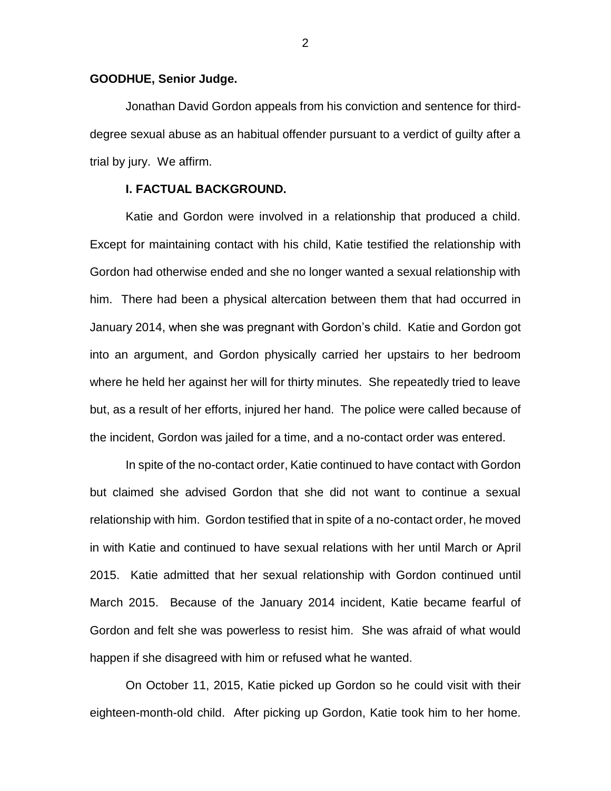### **GOODHUE, Senior Judge.**

Jonathan David Gordon appeals from his conviction and sentence for thirddegree sexual abuse as an habitual offender pursuant to a verdict of guilty after a trial by jury. We affirm.

# **I. FACTUAL BACKGROUND.**

Katie and Gordon were involved in a relationship that produced a child. Except for maintaining contact with his child, Katie testified the relationship with Gordon had otherwise ended and she no longer wanted a sexual relationship with him. There had been a physical altercation between them that had occurred in January 2014, when she was pregnant with Gordon's child. Katie and Gordon got into an argument, and Gordon physically carried her upstairs to her bedroom where he held her against her will for thirty minutes. She repeatedly tried to leave but, as a result of her efforts, injured her hand. The police were called because of the incident, Gordon was jailed for a time, and a no-contact order was entered.

In spite of the no-contact order, Katie continued to have contact with Gordon but claimed she advised Gordon that she did not want to continue a sexual relationship with him. Gordon testified that in spite of a no-contact order, he moved in with Katie and continued to have sexual relations with her until March or April 2015. Katie admitted that her sexual relationship with Gordon continued until March 2015. Because of the January 2014 incident, Katie became fearful of Gordon and felt she was powerless to resist him. She was afraid of what would happen if she disagreed with him or refused what he wanted.

On October 11, 2015, Katie picked up Gordon so he could visit with their eighteen-month-old child. After picking up Gordon, Katie took him to her home.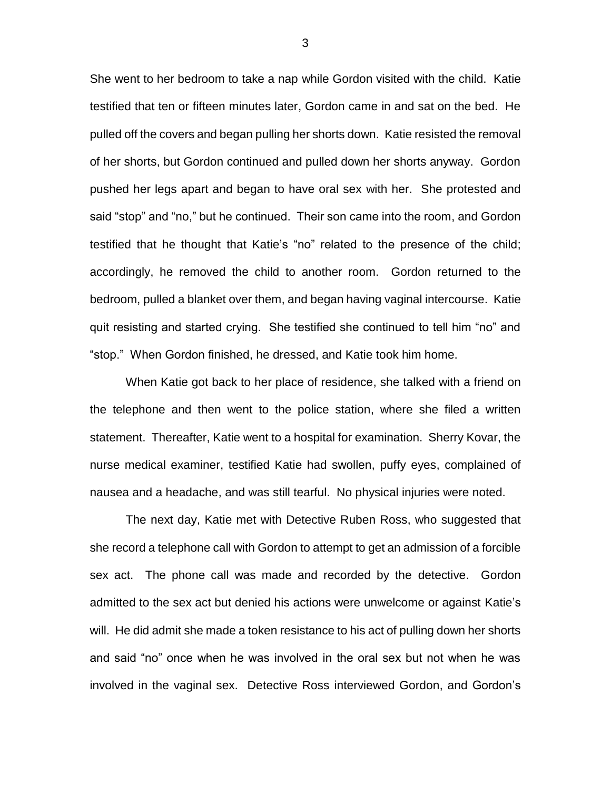She went to her bedroom to take a nap while Gordon visited with the child. Katie testified that ten or fifteen minutes later, Gordon came in and sat on the bed. He pulled off the covers and began pulling her shorts down. Katie resisted the removal of her shorts, but Gordon continued and pulled down her shorts anyway. Gordon pushed her legs apart and began to have oral sex with her. She protested and said "stop" and "no," but he continued. Their son came into the room, and Gordon testified that he thought that Katie's "no" related to the presence of the child; accordingly, he removed the child to another room. Gordon returned to the bedroom, pulled a blanket over them, and began having vaginal intercourse. Katie quit resisting and started crying. She testified she continued to tell him "no" and "stop." When Gordon finished, he dressed, and Katie took him home.

When Katie got back to her place of residence, she talked with a friend on the telephone and then went to the police station, where she filed a written statement. Thereafter, Katie went to a hospital for examination. Sherry Kovar, the nurse medical examiner, testified Katie had swollen, puffy eyes, complained of nausea and a headache, and was still tearful. No physical injuries were noted.

The next day, Katie met with Detective Ruben Ross, who suggested that she record a telephone call with Gordon to attempt to get an admission of a forcible sex act. The phone call was made and recorded by the detective. Gordon admitted to the sex act but denied his actions were unwelcome or against Katie's will. He did admit she made a token resistance to his act of pulling down her shorts and said "no" once when he was involved in the oral sex but not when he was involved in the vaginal sex. Detective Ross interviewed Gordon, and Gordon's

3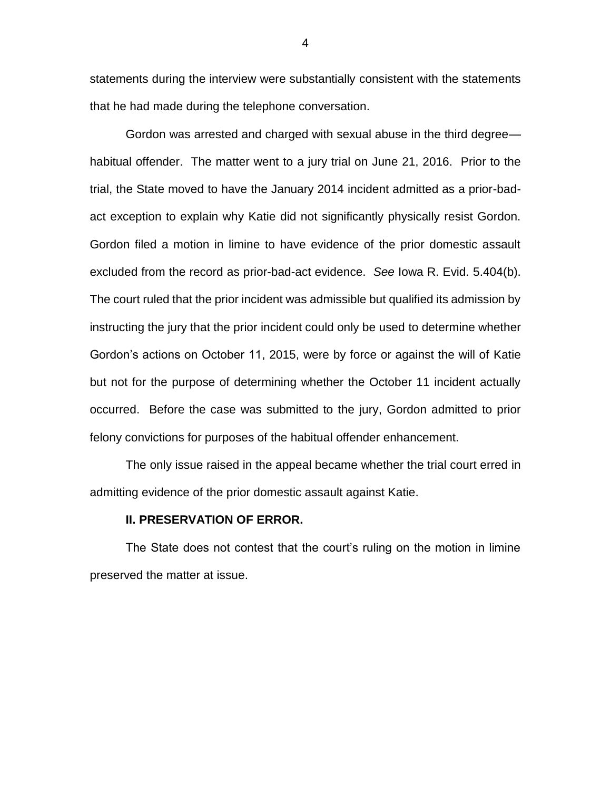statements during the interview were substantially consistent with the statements that he had made during the telephone conversation.

Gordon was arrested and charged with sexual abuse in the third degree habitual offender. The matter went to a jury trial on June 21, 2016. Prior to the trial, the State moved to have the January 2014 incident admitted as a prior-badact exception to explain why Katie did not significantly physically resist Gordon. Gordon filed a motion in limine to have evidence of the prior domestic assault excluded from the record as prior-bad-act evidence. *See* Iowa R. Evid. 5.404(b). The court ruled that the prior incident was admissible but qualified its admission by instructing the jury that the prior incident could only be used to determine whether Gordon's actions on October 11, 2015, were by force or against the will of Katie but not for the purpose of determining whether the October 11 incident actually occurred. Before the case was submitted to the jury, Gordon admitted to prior felony convictions for purposes of the habitual offender enhancement.

The only issue raised in the appeal became whether the trial court erred in admitting evidence of the prior domestic assault against Katie.

#### **II. PRESERVATION OF ERROR.**

The State does not contest that the court's ruling on the motion in limine preserved the matter at issue.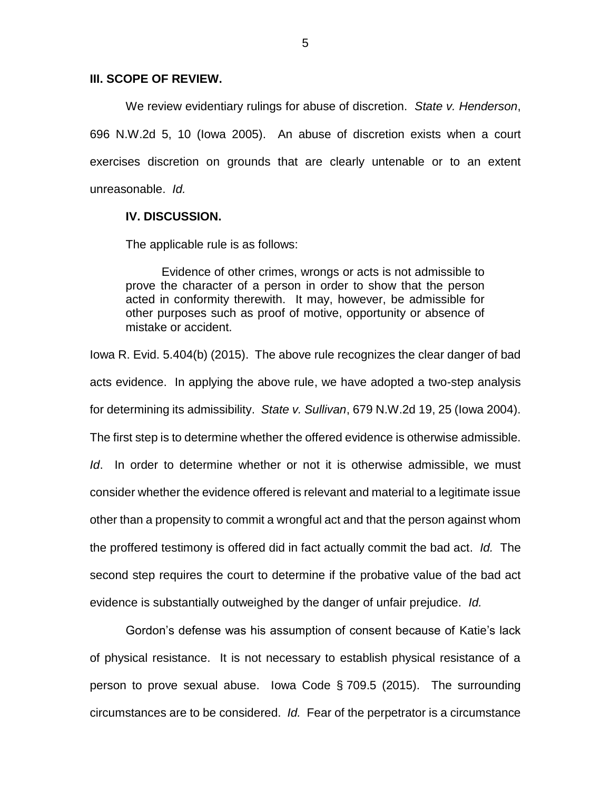## **III. SCOPE OF REVIEW.**

We review evidentiary rulings for abuse of discretion. *State v. Henderson*, 696 N.W.2d 5, 10 (Iowa 2005). An abuse of discretion exists when a court exercises discretion on grounds that are clearly untenable or to an extent unreasonable. *Id.*

#### **IV. DISCUSSION.**

The applicable rule is as follows:

Evidence of other crimes, wrongs or acts is not admissible to prove the character of a person in order to show that the person acted in conformity therewith. It may, however, be admissible for other purposes such as proof of motive, opportunity or absence of mistake or accident.

Iowa R. Evid. 5.404(b) (2015). The above rule recognizes the clear danger of bad acts evidence. In applying the above rule, we have adopted a two-step analysis for determining its admissibility. *State v. Sullivan*, 679 N.W.2d 19, 25 (Iowa 2004). The first step is to determine whether the offered evidence is otherwise admissible. *Id*. In order to determine whether or not it is otherwise admissible, we must consider whether the evidence offered is relevant and material to a legitimate issue other than a propensity to commit a wrongful act and that the person against whom the proffered testimony is offered did in fact actually commit the bad act. *Id.* The second step requires the court to determine if the probative value of the bad act evidence is substantially outweighed by the danger of unfair prejudice. *Id.*

Gordon's defense was his assumption of consent because of Katie's lack of physical resistance. It is not necessary to establish physical resistance of a person to prove sexual abuse. Iowa Code § 709.5 (2015). The surrounding circumstances are to be considered. *Id.* Fear of the perpetrator is a circumstance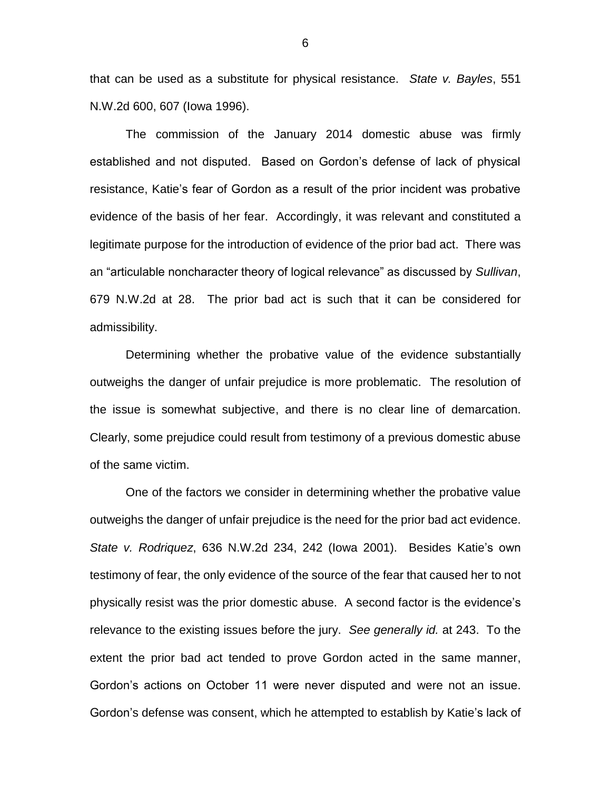that can be used as a substitute for physical resistance. *State v. Bayles*, 551 N.W.2d 600, 607 (Iowa 1996).

The commission of the January 2014 domestic abuse was firmly established and not disputed. Based on Gordon's defense of lack of physical resistance, Katie's fear of Gordon as a result of the prior incident was probative evidence of the basis of her fear. Accordingly, it was relevant and constituted a legitimate purpose for the introduction of evidence of the prior bad act. There was an "articulable noncharacter theory of logical relevance" as discussed by *Sullivan*, 679 N.W.2d at 28. The prior bad act is such that it can be considered for admissibility.

Determining whether the probative value of the evidence substantially outweighs the danger of unfair prejudice is more problematic. The resolution of the issue is somewhat subjective, and there is no clear line of demarcation. Clearly, some prejudice could result from testimony of a previous domestic abuse of the same victim.

One of the factors we consider in determining whether the probative value outweighs the danger of unfair prejudice is the need for the prior bad act evidence. *State v. Rodriquez*, 636 N.W.2d 234, 242 (Iowa 2001). Besides Katie's own testimony of fear, the only evidence of the source of the fear that caused her to not physically resist was the prior domestic abuse. A second factor is the evidence's relevance to the existing issues before the jury. *See generally id.* at 243. To the extent the prior bad act tended to prove Gordon acted in the same manner, Gordon's actions on October 11 were never disputed and were not an issue. Gordon's defense was consent, which he attempted to establish by Katie's lack of